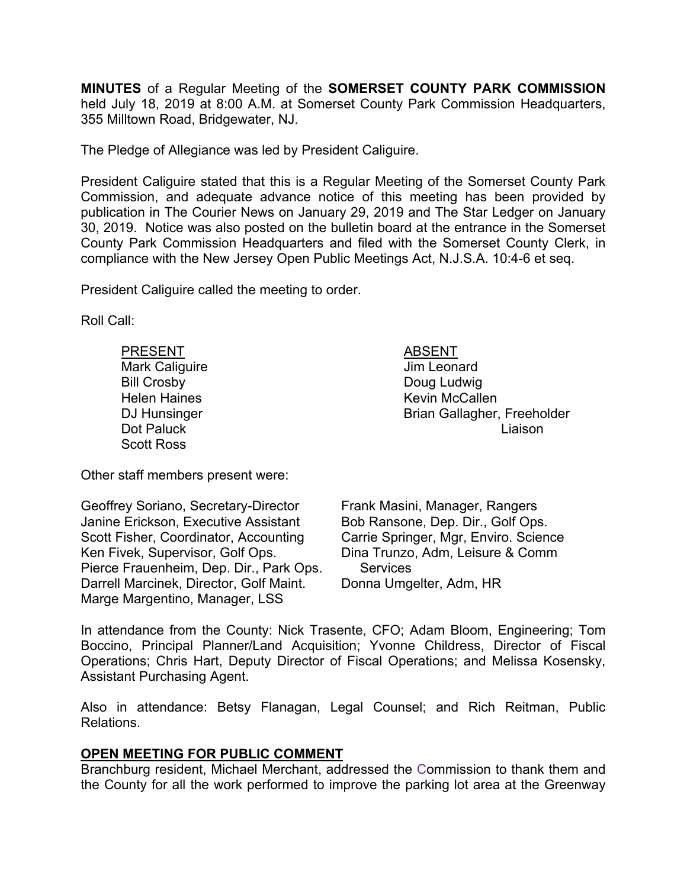**MINUTES** of a Regular Meeting of the **SOMERSET COUNTY PARK COMMISSION** held July 18, 2019 at 8:00 A.M. at Somerset County Park Commission Headquarters, 355 Milltown Road, Bridgewater, NJ.

The Pledge of Allegiance was led by President Caliguire.

President Caliguire stated that this is a Regular Meeting of the Somerset County Park Commission, and adequate advance notice of this meeting has been provided by publication in The Courier News on January 29, 2019 and The Star Ledger on January 30, 2019. Notice was also posted on the bulletin board at the entrance in the Somerset County Park Commission Headquarters and filed with the Somerset County Clerk, in compliance with the New Jersey Open Public Meetings Act, N.J.S.A. 10:4-6 et seq.

President Caliguire called the meeting to order.

Roll Call:

PRESENT ABSENT Mark Caliguire **Mark Caliguire Jim Leonard** Bill Crosby **Doug Ludwig** Scott Ross

Helen Haines **Kevin McCallen** DJ Hunsinger **Brian Gallagher, Freeholder** Dot Paluck Liaison

Other staff members present were:

Geoffrey Soriano, Secretary-Director Janine Erickson, Executive Assistant Scott Fisher, Coordinator, Accounting Ken Fivek, Supervisor, Golf Ops. Pierce Frauenheim, Dep. Dir., Park Ops. Darrell Marcinek, Director, Golf Maint. Marge Margentino, Manager, LSS

Frank Masini, Manager, Rangers Bob Ransone, Dep. Dir., Golf Ops. Carrie Springer, Mgr, Enviro. Science Dina Trunzo, Adm, Leisure & Comm **Services** Donna Umgelter, Adm, HR

In attendance from the County: Nick Trasente, CFO; Adam Bloom, Engineering; Tom Boccino, Principal Planner/Land Acquisition; Yvonne Childress, Director of Fiscal Operations; Chris Hart, Deputy Director of Fiscal Operations; and Melissa Kosensky, Assistant Purchasing Agent.

Also in attendance: Betsy Flanagan, Legal Counsel; and Rich Reitman, Public Relations.

# **OPEN MEETING FOR PUBLIC COMMENT**

Branchburg resident, Michael Merchant, addressed the Commission to thank them and the County for all the work performed to improve the parking lot area at the Greenway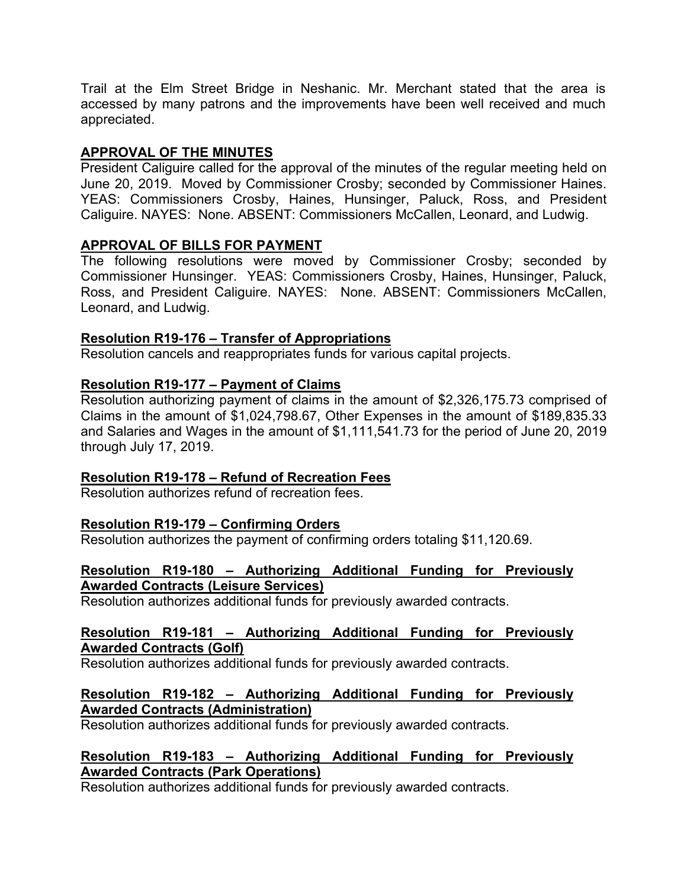Trail at the Elm Street Bridge in Neshanic. Mr. Merchant stated that the area is accessed by many patrons and the improvements have been well received and much appreciated.

# **APPROVAL OF THE MINUTES**

President Caliguire called for the approval of the minutes of the regular meeting held on June 20, 2019. Moved by Commissioner Crosby; seconded by Commissioner Haines. YEAS: Commissioners Crosby, Haines, Hunsinger, Paluck, Ross, and President Caliguire. NAYES: None. ABSENT: Commissioners McCallen, Leonard, and Ludwig.

## **APPROVAL OF BILLS FOR PAYMENT**

The following resolutions were moved by Commissioner Crosby; seconded by Commissioner Hunsinger. YEAS: Commissioners Crosby, Haines, Hunsinger, Paluck, Ross, and President Caliguire. NAYES: None. ABSENT: Commissioners McCallen, Leonard, and Ludwig.

## **Resolution R19-176 – Transfer of Appropriations**

Resolution cancels and reappropriates funds for various capital projects.

## **Resolution R19-177 – Payment of Claims**

Resolution authorizing payment of claims in the amount of \$2,326,175.73 comprised of Claims in the amount of \$1,024,798.67, Other Expenses in the amount of \$189,835.33 and Salaries and Wages in the amount of \$1,111,541.73 for the period of June 20, 2019 through July 17, 2019.

## **Resolution R19-178 – Refund of Recreation Fees**

Resolution authorizes refund of recreation fees.

## **Resolution R19-179 – Confirming Orders**

Resolution authorizes the payment of confirming orders totaling \$11,120.69.

## **Resolution R19-180 – Authorizing Additional Funding for Previously Awarded Contracts (Leisure Services)**

Resolution authorizes additional funds for previously awarded contracts.

### **Resolution R19-181 – Authorizing Additional Funding for Previously Awarded Contracts (Golf)**

Resolution authorizes additional funds for previously awarded contracts.

### **Resolution R19-182 – Authorizing Additional Funding for Previously Awarded Contracts (Administration)**

Resolution authorizes additional funds for previously awarded contracts.

## **Resolution R19-183 – Authorizing Additional Funding for Previously Awarded Contracts (Park Operations)**

Resolution authorizes additional funds for previously awarded contracts.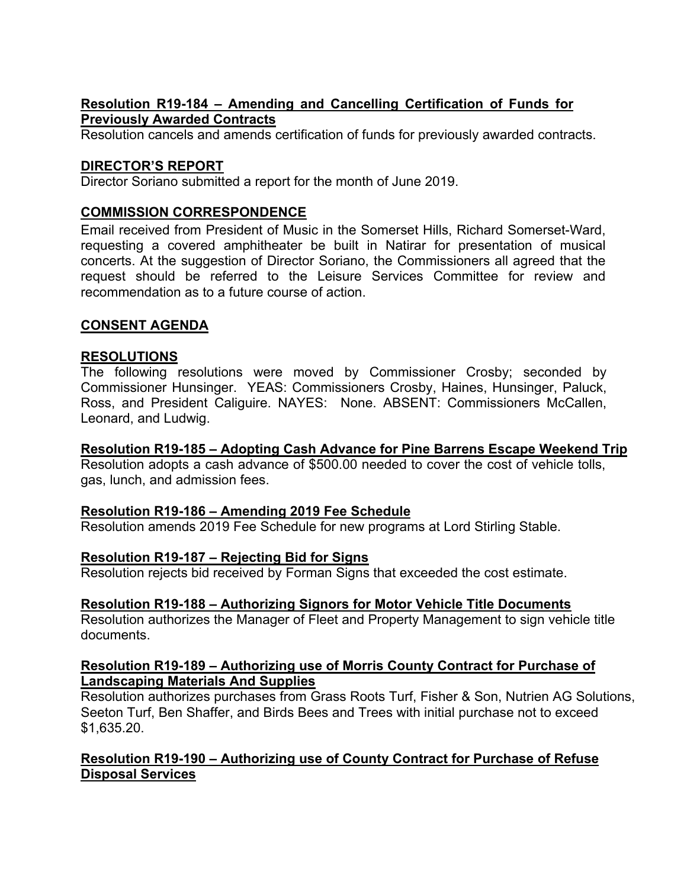# **Resolution R19-184 – Amending and Cancelling Certification of Funds for Previously Awarded Contracts**

Resolution cancels and amends certification of funds for previously awarded contracts.

# **DIRECTOR'S REPORT**

Director Soriano submitted a report for the month of June 2019.

# **COMMISSION CORRESPONDENCE**

Email received from President of Music in the Somerset Hills, Richard Somerset-Ward, requesting a covered amphitheater be built in Natirar for presentation of musical concerts. At the suggestion of Director Soriano, the Commissioners all agreed that the request should be referred to the Leisure Services Committee for review and recommendation as to a future course of action.

# **CONSENT AGENDA**

## **RESOLUTIONS**

The following resolutions were moved by Commissioner Crosby; seconded by Commissioner Hunsinger. YEAS: Commissioners Crosby, Haines, Hunsinger, Paluck, Ross, and President Caliguire. NAYES: None. ABSENT: Commissioners McCallen, Leonard, and Ludwig.

## **Resolution R19-185 – Adopting Cash Advance for Pine Barrens Escape Weekend Trip**

Resolution adopts a cash advance of \$500.00 needed to cover the cost of vehicle tolls, gas, lunch, and admission fees.

## **Resolution R19-186 – Amending 2019 Fee Schedule**

Resolution amends 2019 Fee Schedule for new programs at Lord Stirling Stable.

## **Resolution R19-187 – Rejecting Bid for Signs**

Resolution rejects bid received by Forman Signs that exceeded the cost estimate.

## **Resolution R19-188 – Authorizing Signors for Motor Vehicle Title Documents**

Resolution authorizes the Manager of Fleet and Property Management to sign vehicle title documents.

### **Resolution R19-189 – Authorizing use of Morris County Contract for Purchase of Landscaping Materials And Supplies**

Resolution authorizes purchases from Grass Roots Turf, Fisher & Son, Nutrien AG Solutions, Seeton Turf, Ben Shaffer, and Birds Bees and Trees with initial purchase not to exceed \$1,635.20.

# **Resolution R19-190 – Authorizing use of County Contract for Purchase of Refuse Disposal Services**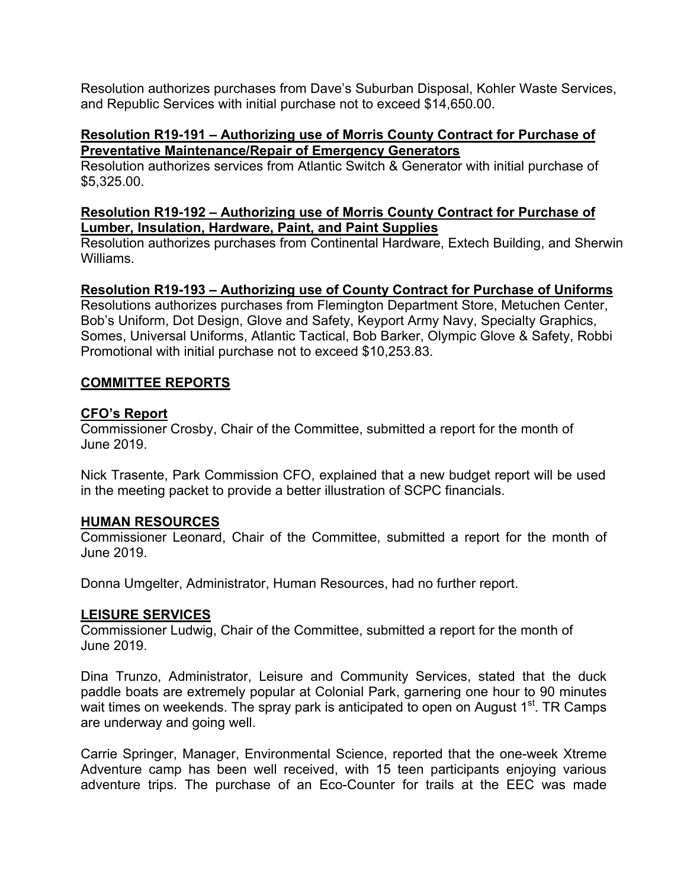Resolution authorizes purchases from Dave's Suburban Disposal, Kohler Waste Services, and Republic Services with initial purchase not to exceed \$14,650.00.

### **Resolution R19-191 – Authorizing use of Morris County Contract for Purchase of Preventative Maintenance/Repair of Emergency Generators**

Resolution authorizes services from Atlantic Switch & Generator with initial purchase of \$5,325.00.

## **Resolution R19-192 – Authorizing use of Morris County Contract for Purchase of Lumber, Insulation, Hardware, Paint, and Paint Supplies**

Resolution authorizes purchases from Continental Hardware, Extech Building, and Sherwin Williams.

# **Resolution R19-193 – Authorizing use of County Contract for Purchase of Uniforms**

Resolutions authorizes purchases from Flemington Department Store, Metuchen Center, Bob's Uniform, Dot Design, Glove and Safety, Keyport Army Navy, Specialty Graphics, Somes, Universal Uniforms, Atlantic Tactical, Bob Barker, Olympic Glove & Safety, Robbi Promotional with initial purchase not to exceed \$10,253.83.

## **COMMITTEE REPORTS**

## **CFO's Report**

Commissioner Crosby, Chair of the Committee, submitted a report for the month of June 2019.

Nick Trasente, Park Commission CFO, explained that a new budget report will be used in the meeting packet to provide a better illustration of SCPC financials.

## **HUMAN RESOURCES**

Commissioner Leonard, Chair of the Committee, submitted a report for the month of June 2019.

Donna Umgelter, Administrator, Human Resources, had no further report.

## **LEISURE SERVICES**

Commissioner Ludwig, Chair of the Committee, submitted a report for the month of June 2019.

Dina Trunzo, Administrator, Leisure and Community Services, stated that the duck paddle boats are extremely popular at Colonial Park, garnering one hour to 90 minutes wait times on weekends. The spray park is anticipated to open on August  $1<sup>st</sup>$ . TR Camps are underway and going well.

Carrie Springer, Manager, Environmental Science, reported that the one-week Xtreme Adventure camp has been well received, with 15 teen participants enjoying various adventure trips. The purchase of an Eco-Counter for trails at the EEC was made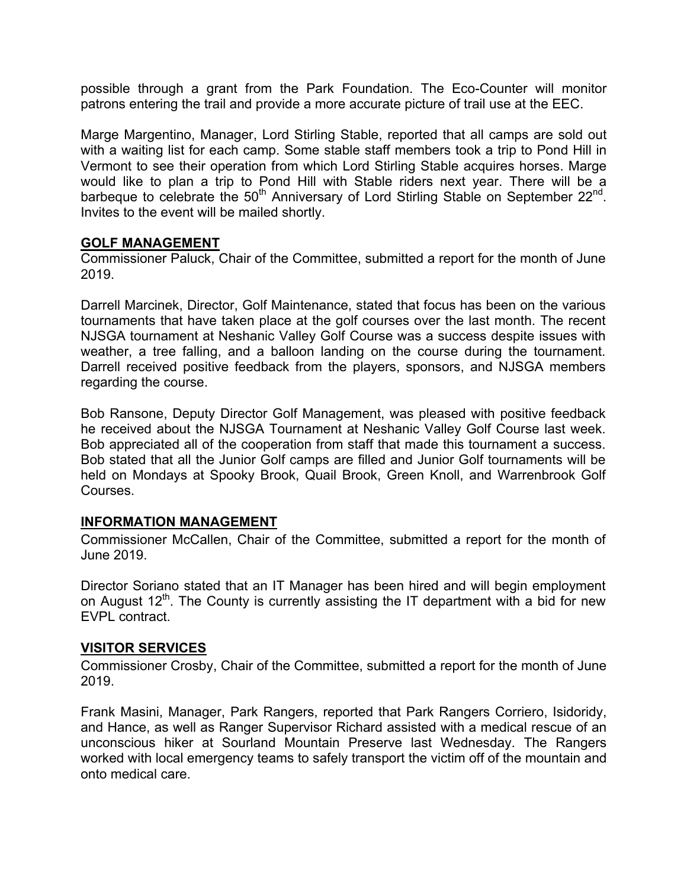possible through a grant from the Park Foundation. The Eco-Counter will monitor patrons entering the trail and provide a more accurate picture of trail use at the EEC.

Marge Margentino, Manager, Lord Stirling Stable, reported that all camps are sold out with a waiting list for each camp. Some stable staff members took a trip to Pond Hill in Vermont to see their operation from which Lord Stirling Stable acquires horses. Marge would like to plan a trip to Pond Hill with Stable riders next year. There will be a barbeque to celebrate the  $50<sup>th</sup>$  Anniversary of Lord Stirling Stable on September 22<sup>nd</sup>. Invites to the event will be mailed shortly.

## **GOLF MANAGEMENT**

Commissioner Paluck, Chair of the Committee, submitted a report for the month of June 2019.

Darrell Marcinek, Director, Golf Maintenance, stated that focus has been on the various tournaments that have taken place at the golf courses over the last month. The recent NJSGA tournament at Neshanic Valley Golf Course was a success despite issues with weather, a tree falling, and a balloon landing on the course during the tournament. Darrell received positive feedback from the players, sponsors, and NJSGA members regarding the course.

Bob Ransone, Deputy Director Golf Management, was pleased with positive feedback he received about the NJSGA Tournament at Neshanic Valley Golf Course last week. Bob appreciated all of the cooperation from staff that made this tournament a success. Bob stated that all the Junior Golf camps are filled and Junior Golf tournaments will be held on Mondays at Spooky Brook, Quail Brook, Green Knoll, and Warrenbrook Golf Courses.

## **INFORMATION MANAGEMENT**

Commissioner McCallen, Chair of the Committee, submitted a report for the month of June 2019.

Director Soriano stated that an IT Manager has been hired and will begin employment on August  $12<sup>th</sup>$ . The County is currently assisting the IT department with a bid for new EVPL contract.

## **VISITOR SERVICES**

Commissioner Crosby, Chair of the Committee, submitted a report for the month of June 2019.

Frank Masini, Manager, Park Rangers, reported that Park Rangers Corriero, Isidoridy, and Hance, as well as Ranger Supervisor Richard assisted with a medical rescue of an unconscious hiker at Sourland Mountain Preserve last Wednesday. The Rangers worked with local emergency teams to safely transport the victim off of the mountain and onto medical care.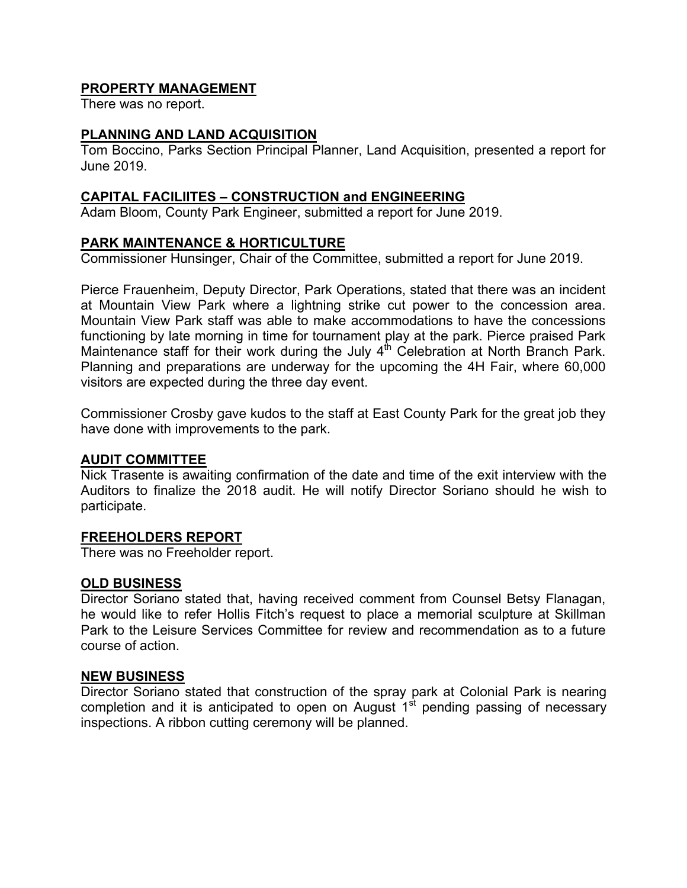# **PROPERTY MANAGEMENT**

There was no report.

### **PLANNING AND LAND ACQUISITION**

Tom Boccino, Parks Section Principal Planner, Land Acquisition, presented a report for June 2019.

### **CAPITAL FACILIITES – CONSTRUCTION and ENGINEERING**

Adam Bloom, County Park Engineer, submitted a report for June 2019.

### **PARK MAINTENANCE & HORTICULTURE**

Commissioner Hunsinger, Chair of the Committee, submitted a report for June 2019.

Pierce Frauenheim, Deputy Director, Park Operations, stated that there was an incident at Mountain View Park where a lightning strike cut power to the concession area. Mountain View Park staff was able to make accommodations to have the concessions functioning by late morning in time for tournament play at the park. Pierce praised Park Maintenance staff for their work during the July  $4<sup>th</sup>$  Celebration at North Branch Park. Planning and preparations are underway for the upcoming the 4H Fair, where 60,000 visitors are expected during the three day event.

Commissioner Crosby gave kudos to the staff at East County Park for the great job they have done with improvements to the park.

#### **AUDIT COMMITTEE**

Nick Trasente is awaiting confirmation of the date and time of the exit interview with the Auditors to finalize the 2018 audit. He will notify Director Soriano should he wish to participate.

#### **FREEHOLDERS REPORT**

There was no Freeholder report.

#### **OLD BUSINESS**

Director Soriano stated that, having received comment from Counsel Betsy Flanagan, he would like to refer Hollis Fitch's request to place a memorial sculpture at Skillman Park to the Leisure Services Committee for review and recommendation as to a future course of action.

#### **NEW BUSINESS**

Director Soriano stated that construction of the spray park at Colonial Park is nearing completion and it is anticipated to open on August  $1<sup>st</sup>$  pending passing of necessary inspections. A ribbon cutting ceremony will be planned.